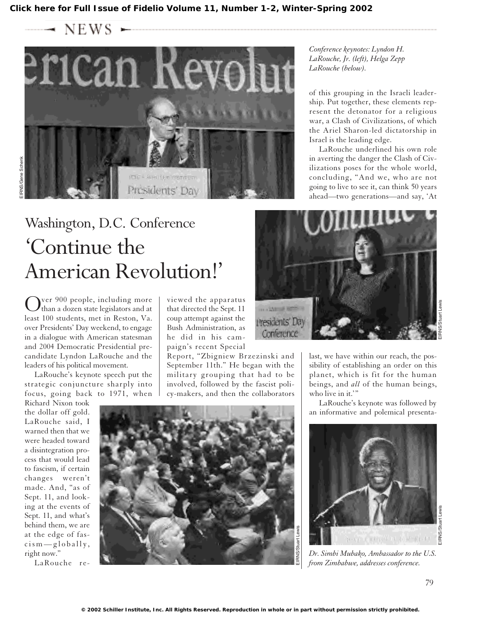$\longrightarrow$  NEWS



## Washington, D.C. Conference 'Continue the American Revolution!'

Over 900 people, including more<br>than a dozen state legislators and at least 100 students, met in Reston, Va. over Presidents' Day weekend, to engage in a dialogue with American statesman and 2004 Democratic Presidential precandidate Lyndon LaRouche and the leaders of his political movement.

LaRouche's keynote speech put the strategic conjuncture sharply into focus, going back to 1971, when

Richard Nixon took the dollar off gold. LaRouche said, I warned then that we were headed toward a disintegration process that would lead to fascism, if certain changes weren't made. And, "as of Sept. 11, and looking at the events of Sept. 11, and what's behind them, we are at the edge of fascism—globally, right now."

LaRouche re-

viewed the apparatus that directed the Sept. 11 coup attempt against the Bush Administration, as he did in his campaign's recent Special

Report, "Zbigniew Brzezinski and September 11th." He began with the military grouping that had to be involved, followed by the fascist policy-makers, and then the collaborators



*Conference keynotes: Lyndon H. LaRouche, Jr. (left), Helga Zepp LaRouche (below).*

of this grouping in the Israeli leadership. Put together, these elements represent the detonator for a religious war, a Clash of Civilizations, of which the Ariel Sharon-led dictatorship in Israel is the leading edge.

LaRouche underlined his own role in averting the danger the Clash of Civilizations poses for the whole world, concluding, "And we, who are not going to live to see it, can think 50 years ahead—two generations—and say, 'At



last, we have within our reach, the possibility of establishing an order on this planet, which is fit for the human beings, and *all* of the human beings, who live in it."

LaRouche's keynote was followed by an informative and polemical presenta-